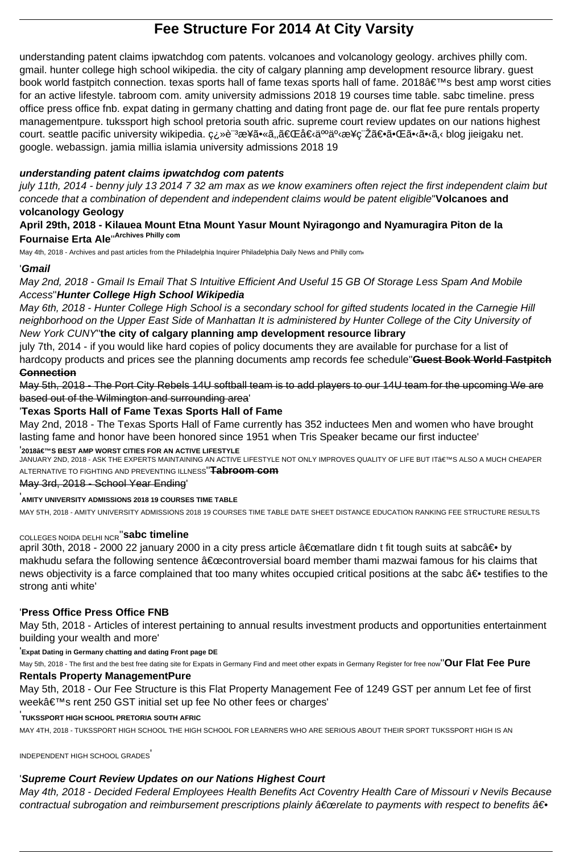# **Fee Structure For 2014 At City Varsity**

understanding patent claims ipwatchdog com patents. volcanoes and volcanology geology. archives philly com. gmail. hunter college high school wikipedia. the city of calgary planning amp development resource library. guest book world fastpitch connection. texas sports hall of fame texas sports hall of fame. 2018's best amp worst cities for an active lifestyle. tabroom com. amity university admissions 2018 19 courses time table. sabc timeline. press office press office fnb. expat dating in germany chatting and dating front page de. our flat fee pure rentals property managementpure. tukssport high school pretoria south afric. supreme court review updates on our nations highest court. seattle pacific university wikipedia. ç¿»è<sup>"3</sup>æ¥ã•«ã,,「個ä<sup>oo</sup>事æ¥ç¨Žã€•㕌ã•‹ã,‹ blog jieigaku net. google. webassign. jamia millia islamia university admissions 2018 19

## **understanding patent claims ipwatchdog com patents**

july 11th, 2014 - benny july 13 2014 7 32 am max as we know examiners often reject the first independent claim but concede that a combination of dependent and independent claims would be patent eligible''**Volcanoes and volcanology Geology**

**April 29th, 2018 - Kilauea Mount Etna Mount Yasur Mount Nyiragongo and Nyamuragira Piton de la Fournaise Erta Ale**''**Archives Philly com**

May 4th, 2018 - Archives and past articles from the Philadelphia Inquirer Philadelphia Daily News and Philly com'

JANUARY 2ND, 2018 - ASK THE EXPERTS MAINTAINING AN ACTIVE LIFESTYLE NOT ONLY IMPROVES QUALITY OF LIFE BUT IT'S ALSO A MUCH CHEAPER ALTERNATIVE TO FIGHTING AND PREVENTING ILLNESS''**Tabroom com**

## '**Gmail**

May 2nd, 2018 - Gmail Is Email That S Intuitive Efficient And Useful 15 GB Of Storage Less Spam And Mobile Access''**Hunter College High School Wikipedia**

april 30th, 2018 - 2000 22 january 2000 in a city press article "matlare didn t fit tough suits at sabc― by makhudu sefara the following sentence "controversial board member thami mazwai famous for his claims that news objectivity is a farce complained that too many whites occupied critical positions at the sabc  $\hat{a} \in \bullet$  testifies to the strong anti white'

May 6th, 2018 - Hunter College High School is a secondary school for gifted students located in the Carnegie Hill neighborhood on the Upper East Side of Manhattan It is administered by Hunter College of the City University of New York CUNY''**the city of calgary planning amp development resource library**

May 5th, 2018 - Our Fee Structure is this Flat Property Management Fee of 1249 GST per annum Let fee of first weekâ€<sup>™</sup>s rent 250 GST initial set up fee No other fees or charges'

july 7th, 2014 - if you would like hard copies of policy documents they are available for purchase for a list of hardcopy products and prices see the planning documents amp records fee schedule''**Guest Book World Fastpitch Connection**

May 4th, 2018 - Decided Federal Employees Health Benefits Act Coventry Health Care of Missouri v Nevils Because contractual subrogation and reimbursement prescriptions plainly  $\hat{a}\in$  cerelate to payments with respect to benefits  $\hat{a}\in \bullet$ 

May 5th, 2018 - The Port City Rebels 14U softball team is to add players to our 14U team for the upcoming We are based out of the Wilmington and surrounding area'

# '**Texas Sports Hall of Fame Texas Sports Hall of Fame**

May 2nd, 2018 - The Texas Sports Hall of Fame currently has 352 inductees Men and women who have brought lasting fame and honor have been honored since 1951 when Tris Speaker became our first inductee'

<sup>'</sup>2018'S BEST AMP WORST CITIES FOR AN ACTIVE LIFESTYLE

#### May 3rd, 2018 - School Year Ending'

#### '**AMITY UNIVERSITY ADMISSIONS 2018 19 COURSES TIME TABLE**

MAY 5TH, 2018 - AMITY UNIVERSITY ADMISSIONS 2018 19 COURSES TIME TABLE DATE SHEET DISTANCE EDUCATION RANKING FEE STRUCTURE RESULTS

# COLLEGES NOIDA DELHI NCR''**sabc timeline**

### '**Press Office Press Office FNB**

May 5th, 2018 - Articles of interest pertaining to annual results investment products and opportunities entertainment building your wealth and more'

'**Expat Dating in Germany chatting and dating Front page DE**

May 5th, 2018 - The first and the best free dating site for Expats in Germany Find and meet other expats in Germany Register for free now''**Our Flat Fee Pure**

### **Rentals Property ManagementPure**

#### '**TUKSSPORT HIGH SCHOOL PRETORIA SOUTH AFRIC**

MAY 4TH, 2018 - TUKSSPORT HIGH SCHOOL THE HIGH SCHOOL FOR LEARNERS WHO ARE SERIOUS ABOUT THEIR SPORT TUKSSPORT HIGH IS AN

INDEPENDENT HIGH SCHOOL GRADES'

### '**Supreme Court Review Updates on our Nations Highest Court**